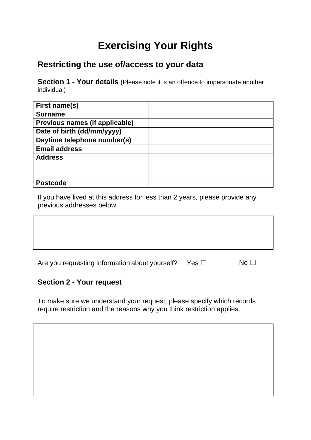# **Exercising Your Rights**

### **Restricting the use of/access to your data**

**Section 1 - Your details** (Please note it is an offence to impersonate another individual)

| First name(s)                  |  |
|--------------------------------|--|
| <b>Surname</b>                 |  |
| Previous names (if applicable) |  |
| Date of birth (dd/mm/yyyy)     |  |
| Daytime telephone number(s)    |  |
| <b>Email address</b>           |  |
| <b>Address</b>                 |  |
|                                |  |
|                                |  |
| <b>Postcode</b>                |  |

If you have lived at this address for less than 2 years, please provide any previous addresses below.

| Are you requesting information about yourself? | $Yes \Box$ | No $\Box$ |
|------------------------------------------------|------------|-----------|
|------------------------------------------------|------------|-----------|

#### **Section 2 - Your request**

To make sure we understand your request, please specify which records require restriction and the reasons why you think restriction applies: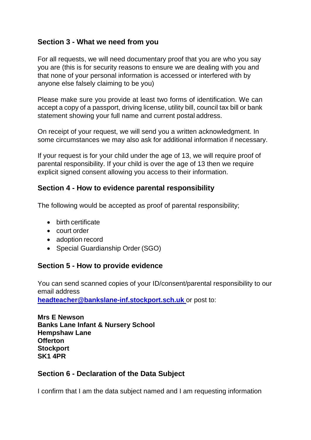#### **Section 3 - What we need from you**

For all requests, we will need documentary proof that you are who you say you are (this is for security reasons to ensure we are dealing with you and that none of your personal information is accessed or interfered with by anyone else falsely claiming to be you)

Please make sure you provide at least two forms of identification. We can accept a copy of a passport, driving license, utility bill, council tax bill or bank statement showing your full name and current postal address.

On receipt of your request, we will send you a written acknowledgment. In some circumstances we may also ask for additional information if necessary.

If your request is for your child under the age of 13, we will require proof of parental responsibility. If your child is over the age of 13 then we require explicit signed consent allowing you access to their information.

#### **Section 4 - How to evidence parental responsibility**

The following would be accepted as proof of parental responsibility;

- birth certificate
- court order
- adoption record
- Special Guardianship Order (SGO)

#### **Section 5 - How to provide evidence**

You can send scanned copies of your ID/consent/parental responsibility to our email address

**[headteacher@bankslane-inf.stockport.sch.uk](mailto:headteacher@bankslane-inf.stockport.sch.uk)** or post to:

**Mrs E Newson Banks Lane Infant & Nursery School Hempshaw Lane Offerton Stockport SK1 4PR**

#### **Section 6 - Declaration of the Data Subject**

I confirm that I am the data subject named and I am requesting information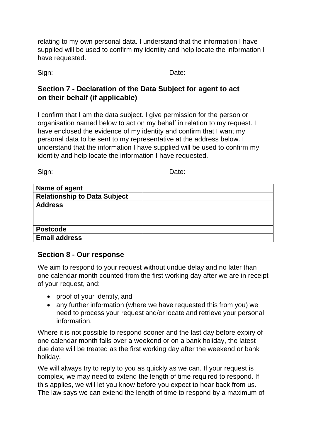relating to my own personal data. I understand that the information I have supplied will be used to confirm my identity and help locate the information I have requested.

Sign: **Date:** Date:

#### **Section 7 - Declaration of the Data Subject for agent to act on their behalf (if applicable)**

I confirm that I am the data subject. I give permission for the person or organisation named below to act on my behalf in relation to my request. I have enclosed the evidence of my identity and confirm that I want my personal data to be sent to my representative at the address below. I understand that the information I have supplied will be used to confirm my identity and help locate the information I have requested.

Sign: Date:

| Name of agent                       |  |
|-------------------------------------|--|
| <b>Relationship to Data Subject</b> |  |
| <b>Address</b>                      |  |
|                                     |  |
|                                     |  |
| <b>Postcode</b>                     |  |
| <b>Email address</b>                |  |

#### **Section 8 - Our response**

We aim to respond to your request without undue delay and no later than one calendar month counted from the first working day after we are in receipt of your request, and:

- proof of your identity, and
- any further information (where we have requested this from you) we need to process your request and/or locate and retrieve your personal information.

Where it is not possible to respond sooner and the last day before expiry of one calendar month falls over a weekend or on a bank holiday, the latest due date will be treated as the first working day after the weekend or bank holiday.

We will always try to reply to you as quickly as we can. If your request is complex, we may need to extend the length of time required to respond. If this applies, we will let you know before you expect to hear back from us. The law says we can extend the length of time to respond by a maximum of